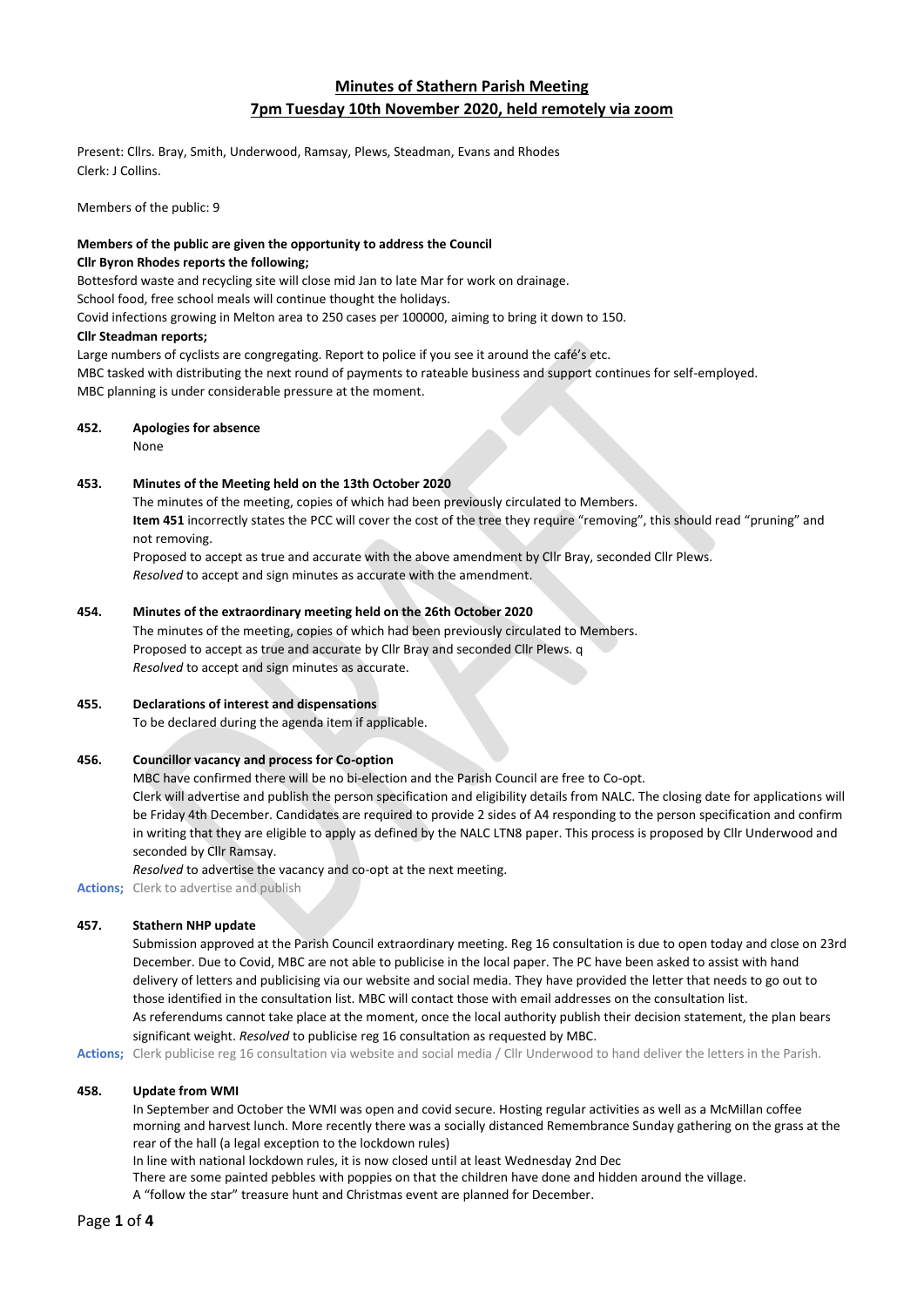# **Minutes of Stathern Parish Meeting 7pm Tuesday 10th November 2020, held remotely via zoom**

Present: Cllrs. Bray, Smith, Underwood, Ramsay, Plews, Steadman, Evans and Rhodes Clerk: J Collins.

Members of the public: 9

# **Members of the public are given the opportunity to address the Council**

# **Cllr Byron Rhodes reports the following;**

Bottesford waste and recycling site will close mid Jan to late Mar for work on drainage.

School food, free school meals will continue thought the holidays.

Covid infections growing in Melton area to 250 cases per 100000, aiming to bring it down to 150.

# **Cllr Steadman reports;**

Large numbers of cyclists are congregating. Report to police if you see it around the café's etc. MBC tasked with distributing the next round of payments to rateable business and support continues for self-employed. MBC planning is under considerable pressure at the moment.

# **452. Apologies for absence**

None

# **453. Minutes of the Meeting held on the 13th October 2020**

The minutes of the meeting, copies of which had been previously circulated to Members. **Item 451** incorrectly states the PCC will cover the cost of the tree they require "removing", this should read "pruning" and not removing.

Proposed to accept as true and accurate with the above amendment by Cllr Bray, seconded Cllr Plews. *Resolved* to accept and sign minutes as accurate with the amendment.

# **454. Minutes of the extraordinary meeting held on the 26th October 2020**

The minutes of the meeting, copies of which had been previously circulated to Members. Proposed to accept as true and accurate by Cllr Bray and seconded Cllr Plews. q *Resolved* to accept and sign minutes as accurate.

# **455. Declarations of interest and dispensations**

To be declared during the agenda item if applicable.

# **456. Councillor vacancy and process for Co-option**

MBC have confirmed there will be no bi-election and the Parish Council are free to Co-opt. Clerk will advertise and publish the person specification and eligibility details from NALC. The closing date for applications will be Friday 4th December. Candidates are required to provide 2 sides of A4 responding to the person specification and confirm in writing that they are eligible to apply as defined by the NALC LTN8 paper. This process is proposed by Cllr Underwood and seconded by Cllr Ramsay.

*Resolved* to advertise the vacancy and co-opt at the next meeting.

**Actions;** Clerk to advertise and publish

# **457. Stathern NHP update**

Submission approved at the Parish Council extraordinary meeting. Reg 16 consultation is due to open today and close on 23rd December. Due to Covid, MBC are not able to publicise in the local paper. The PC have been asked to assist with hand delivery of letters and publicising via our website and social media. They have provided the letter that needs to go out to those identified in the consultation list. MBC will contact those with email addresses on the consultation list. As referendums cannot take place at the moment, once the local authority publish their decision statement, the plan bears significant weight. *Resolved* to publicise reg 16 consultation as requested by MBC.

**Actions;** Clerk publicise reg 16 consultation via website and social media / Cllr Underwood to hand deliver the letters in the Parish.

# **458. Update from WMI**

In September and October the WMI was open and covid secure. Hosting regular activities as well as a McMillan coffee morning and harvest lunch. More recently there was a socially distanced Remembrance Sunday gathering on the grass at the rear of the hall (a legal exception to the lockdown rules)

In line with national lockdown rules, it is now closed until at least Wednesday 2nd Dec

There are some painted pebbles with poppies on that the children have done and hidden around the village.

A "follow the star" treasure hunt and Christmas event are planned for December.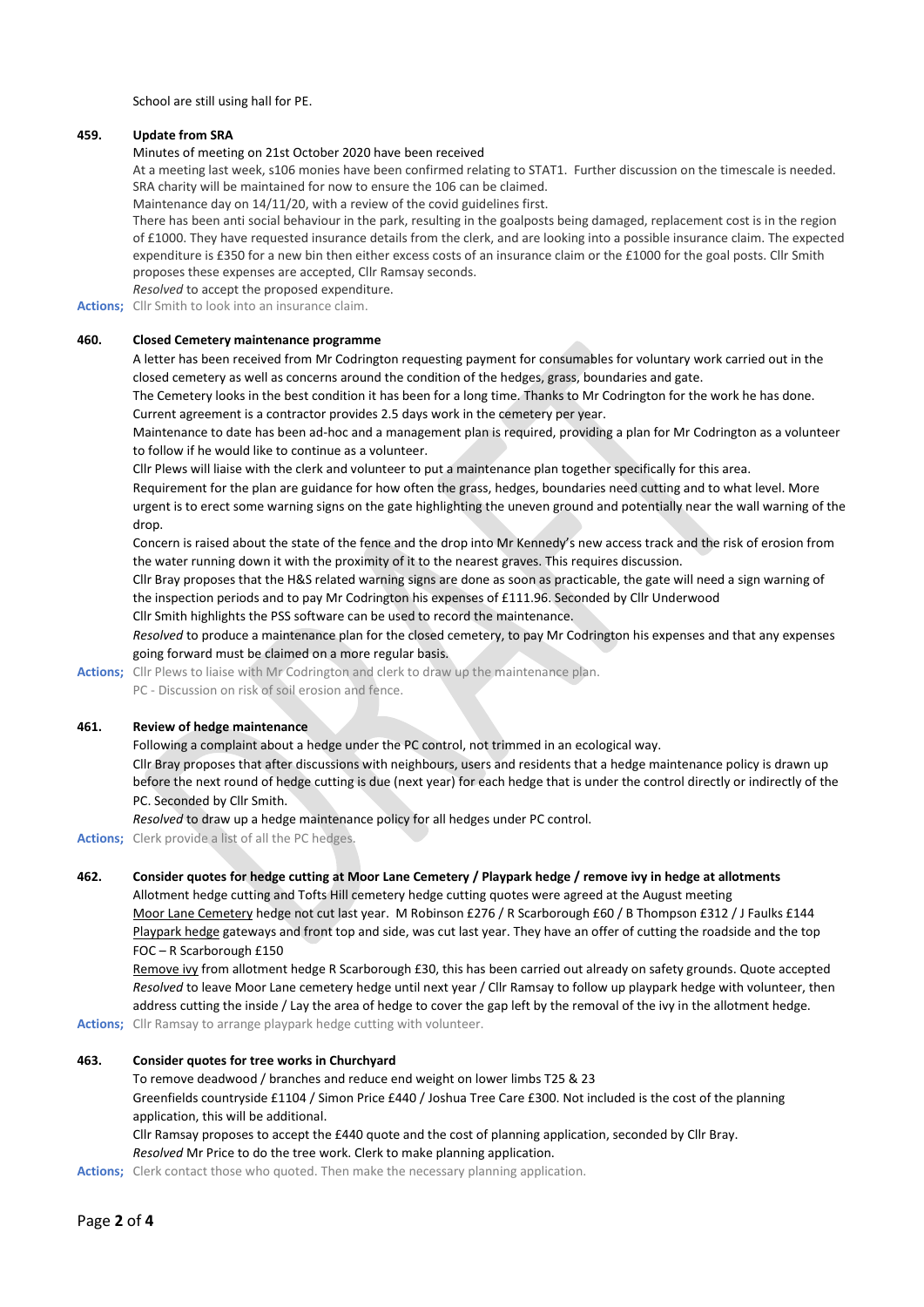School are still using hall for PE.

### **459. Update from SRA**

#### Minutes of meeting on 21st October 2020 have been received

At a meeting last week, s106 monies have been confirmed relating to STAT1. Further discussion on the timescale is needed. SRA charity will be maintained for now to ensure the 106 can be claimed.

Maintenance day on 14/11/20, with a review of the covid guidelines first.

There has been anti social behaviour in the park, resulting in the goalposts being damaged, replacement cost is in the region of £1000. They have requested insurance details from the clerk, and are looking into a possible insurance claim. The expected expenditure is £350 for a new bin then either excess costs of an insurance claim or the £1000 for the goal posts. Cllr Smith proposes these expenses are accepted, Cllr Ramsay seconds.

*Resolved* to accept the proposed expenditure.

**Actions;** Cllr Smith to look into an insurance claim.

### **460. Closed Cemetery maintenance programme**

A letter has been received from Mr Codrington requesting payment for consumables for voluntary work carried out in the closed cemetery as well as concerns around the condition of the hedges, grass, boundaries and gate.

The Cemetery looks in the best condition it has been for a long time. Thanks to Mr Codrington for the work he has done. Current agreement is a contractor provides 2.5 days work in the cemetery per year.

Maintenance to date has been ad-hoc and a management plan is required, providing a plan for Mr Codrington as a volunteer to follow if he would like to continue as a volunteer.

Cllr Plews will liaise with the clerk and volunteer to put a maintenance plan together specifically for this area.

Requirement for the plan are guidance for how often the grass, hedges, boundaries need cutting and to what level. More urgent is to erect some warning signs on the gate highlighting the uneven ground and potentially near the wall warning of the drop.

Concern is raised about the state of the fence and the drop into Mr Kennedy's new access track and the risk of erosion from the water running down it with the proximity of it to the nearest graves. This requires discussion.

Cllr Bray proposes that the H&S related warning signs are done as soon as practicable, the gate will need a sign warning of the inspection periods and to pay Mr Codrington his expenses of £111.96. Seconded by Cllr Underwood

Cllr Smith highlights the PSS software can be used to record the maintenance.

*Resolved* to produce a maintenance plan for the closed cemetery, to pay Mr Codrington his expenses and that any expenses going forward must be claimed on a more regular basis.

**Actions;** Cllr Plews to liaise with Mr Codrington and clerk to draw up the maintenance plan.

PC - Discussion on risk of soil erosion and fence.

# **461. Review of hedge maintenance**

Following a complaint about a hedge under the PC control, not trimmed in an ecological way. Cllr Bray proposes that after discussions with neighbours, users and residents that a hedge maintenance policy is drawn up before the next round of hedge cutting is due (next year) for each hedge that is under the control directly or indirectly of the PC. Seconded by Cllr Smith.

*Resolved* to draw up a hedge maintenance policy for all hedges under PC control.

**Actions;** Clerk provide a list of all the PC hedges.

### **462. Consider quotes for hedge cutting at Moor Lane Cemetery / Playpark hedge / remove ivy in hedge at allotments**

Allotment hedge cutting and Tofts Hill cemetery hedge cutting quotes were agreed at the August meeting Moor Lane Cemetery hedge not cut last year. M Robinson £276 / R Scarborough £60 / B Thompson £312 / J Faulks £144 Playpark hedge gateways and front top and side, was cut last year. They have an offer of cutting the roadside and the top FOC – R Scarborough £150

Remove ivy from allotment hedge R Scarborough £30, this has been carried out already on safety grounds. Quote accepted *Resolved* to leave Moor Lane cemetery hedge until next year / Cllr Ramsay to follow up playpark hedge with volunteer, then address cutting the inside / Lay the area of hedge to cover the gap left by the removal of the ivy in the allotment hedge.

**Actions;** Cllr Ramsay to arrange playpark hedge cutting with volunteer.

### **463. Consider quotes for tree works in Churchyard**

To remove deadwood / branches and reduce end weight on lower limbs T25 & 23 Greenfields countryside £1104 / Simon Price £440 / Joshua Tree Care £300. Not included is the cost of the planning application, this will be additional.

Cllr Ramsay proposes to accept the £440 quote and the cost of planning application, seconded by Cllr Bray. *Resolved* Mr Price to do the tree work. Clerk to make planning application.

**Actions;** Clerk contact those who quoted. Then make the necessary planning application.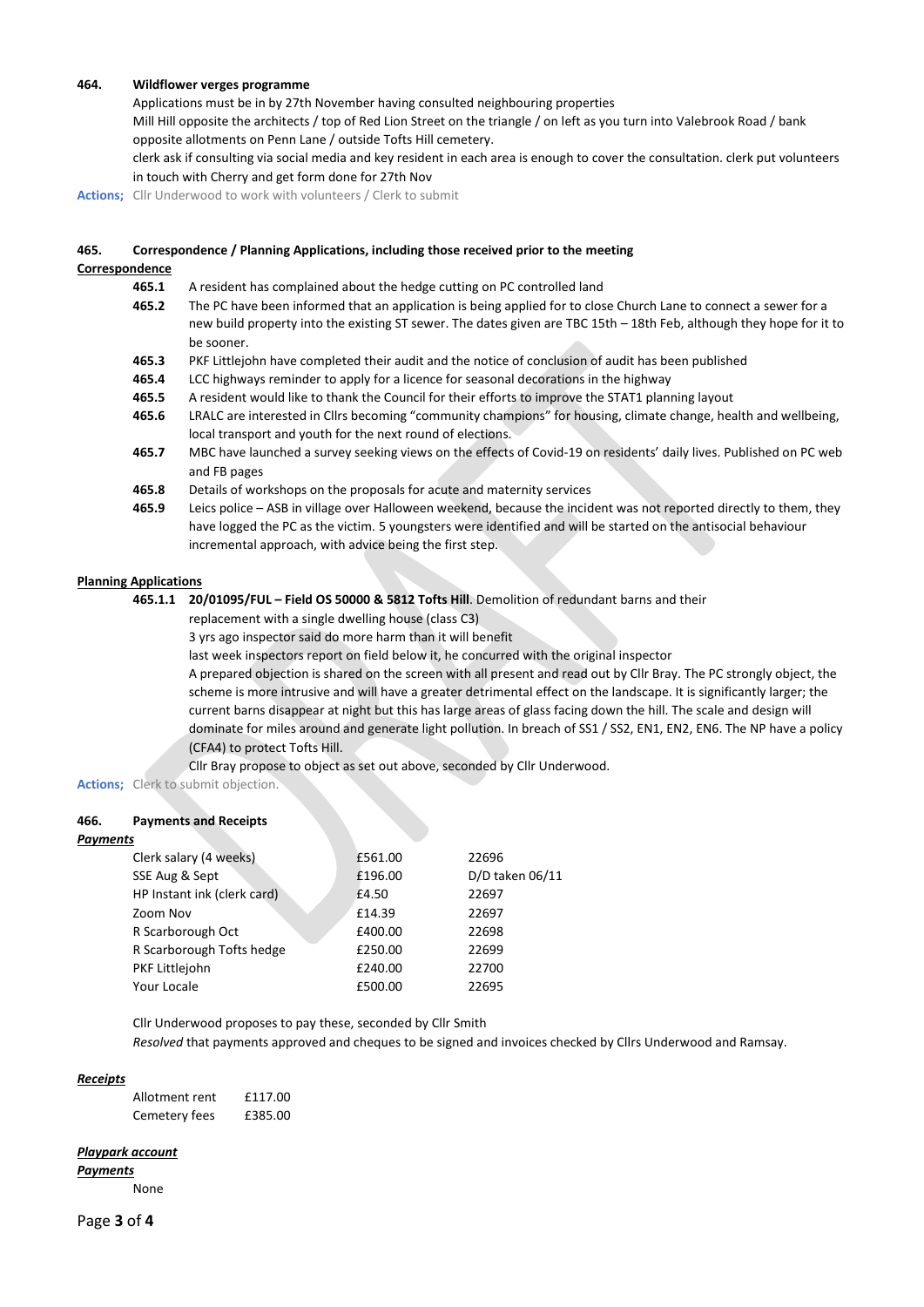#### **464. Wildflower verges programme**

Applications must be in by 27th November having consulted neighbouring properties

Mill Hill opposite the architects / top of Red Lion Street on the triangle / on left as you turn into Valebrook Road / bank opposite allotments on Penn Lane / outside Tofts Hill cemetery.

clerk ask if consulting via social media and key resident in each area is enough to cover the consultation. clerk put volunteers in touch with Cherry and get form done for 27th Nov

**Actions;** Cllr Underwood to work with volunteers / Clerk to submit

#### **465. Correspondence / Planning Applications, including those received prior to the meeting**

#### **Correspondence**

- **465.1** A resident has complained about the hedge cutting on PC controlled land
- **465.2** The PC have been informed that an application is being applied for to close Church Lane to connect a sewer for a new build property into the existing ST sewer. The dates given are TBC 15th – 18th Feb, although they hope for it to be sooner.
- **465.3** PKF Littlejohn have completed their audit and the notice of conclusion of audit has been published
- **465.4** LCC highways reminder to apply for a licence for seasonal decorations in the highway
- **465.5** A resident would like to thank the Council for their efforts to improve the STAT1 planning layout
- **465.6** LRALC are interested in Cllrs becoming "community champions" for housing, climate change, health and wellbeing, local transport and youth for the next round of elections.
- **465.7** MBC have launched a survey seeking views on the effects of Covid-19 on residents' daily lives. Published on PC web and FB pages
- **465.8** Details of workshops on the proposals for acute and maternity services
- **465.9** Leics police ASB in village over Halloween weekend, because the incident was not reported directly to them, they have logged the PC as the victim. 5 youngsters were identified and will be started on the antisocial behaviour incremental approach, with advice being the first step.

### **Planning Applications**

- **465.1.1 20/01095/FUL – Field OS 50000 & 5812 Tofts Hill**. Demolition of redundant barns and their
	- replacement with a single dwelling house (class C3)

3 yrs ago inspector said do more harm than it will benefit

last week inspectors report on field below it, he concurred with the original inspector

A prepared objection is shared on the screen with all present and read out by Cllr Bray. The PC strongly object, the scheme is more intrusive and will have a greater detrimental effect on the landscape. It is significantly larger; the current barns disappear at night but this has large areas of glass facing down the hill. The scale and design will dominate for miles around and generate light pollution. In breach of SS1 / SS2, EN1, EN2, EN6. The NP have a policy (CFA4) to protect Tofts Hill.

Cllr Bray propose to object as set out above, seconded by Cllr Underwood.

**Actions;** Clerk to submit objection.

### **466. Payments and Receipts**

#### *Payments*

| Clerk salary (4 weeks)      | £561.00 | 22696           |
|-----------------------------|---------|-----------------|
| SSE Aug & Sept              | £196.00 | D/D taken 06/11 |
| HP Instant ink (clerk card) | £4.50   | 22697           |
| Zoom Nov                    | £14.39  | 22697           |
| R Scarborough Oct           | £400.00 | 22698           |
| R Scarborough Tofts hedge   | £250.00 | 22699           |
| PKF Littlejohn              | £240.00 | 22700           |
| Your Locale                 | £500.00 | 22695           |

Cllr Underwood proposes to pay these, seconded by Cllr Smith *Resolved* that payments approved and cheques to be signed and invoices checked by Cllrs Underwood and Ramsay.

#### *Receipts*

| Allotment rent | £117.00 |
|----------------|---------|
| Cemetery fees  | £385.00 |

#### *Playpark account*

*Payments*

None